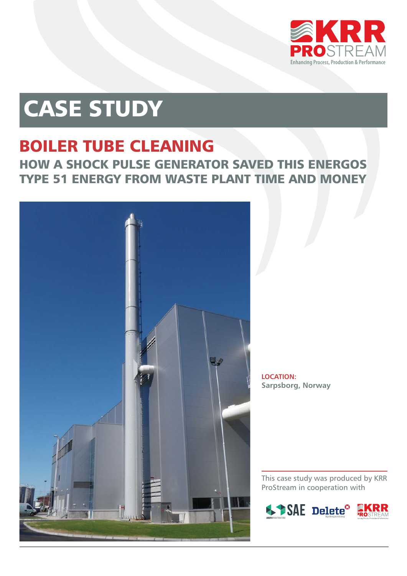

# CASE STUDY

#### BOILER TUBE CLEANING HOW A SHOCK PULSE GENERATOR SAVED THIS ENERGOS TYPE 51 ENERGY FROM WASTE PLANT TIME AND MONEY



**LOCATION: Sarpsborg, Norway**

This case study was produced by KRR ProStream in cooperation with

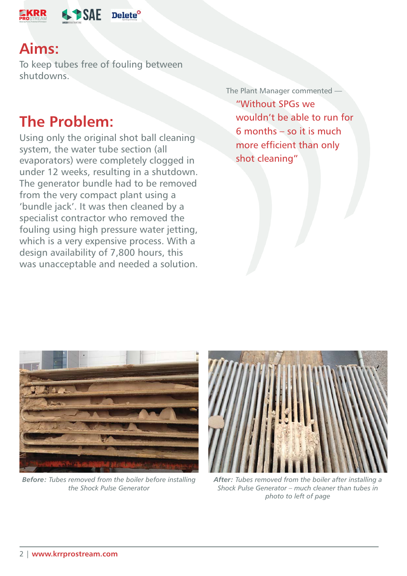

#### **Aims:**

To keep tubes free of fouling between shutdowns.

#### **The Problem:**

Using only the original shot ball cleaning system, the water tube section (all evaporators) were completely clogged in under 12 weeks, resulting in a shutdown. The generator bundle had to be removed from the very compact plant using a 'bundle jack'. It was then cleaned by a specialist contractor who removed the fouling using high pressure water jetting, which is a very expensive process. With a design availability of 7,800 hours, this was unacceptable and needed a solution.

The Plant Manager commented "Without SPGs we wouldn't be able to run for 6 months – so it is much more efficient than only shot cleaning"



*Before: Tubes removed from the boiler before installing the Shock Pulse Generator*



*After: Tubes removed from the boiler after installing a Shock Pulse Generator – much cleaner than tubes in photo to left of page*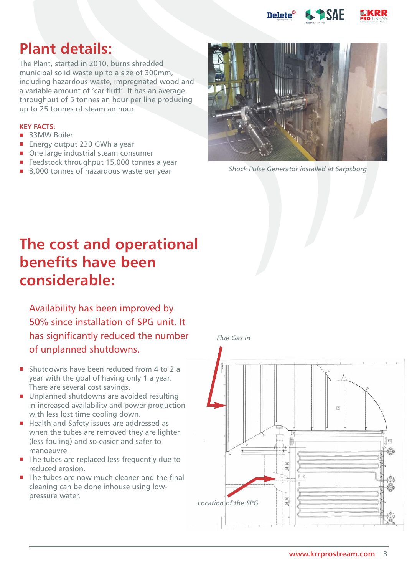

### **Plant details:**

The Plant, started in 2010, burns shredded municipal solid waste up to a size of 300mm, including hazardous waste, impregnated wood and a variable amount of 'car fluff'. It has an average throughput of 5 tonnes an hour per line producing up to 25 tonnes of steam an hour.

#### **KEY FACTS:**

- 33MW Boiler
- **Energy output 230 GWh a year**
- One large industrial steam consumer
- Feedstock throughput 15,000 tonnes a year
- 



8,000 tonnes of hazardous waste per year *Shock Pulse Generator installed at Sarpsborg*

## **The cost and operational benefits have been considerable:**

Availability has been improved by 50% since installation of SPG unit. It has significantly reduced the number of unplanned shutdowns.

- Shutdowns have been reduced from 4 to 2 a year with the goal of having only 1 a year. There are several cost savings.
- **Unplanned shutdowns are avoided resulting** in increased availability and power production with less lost time cooling down.
- Health and Safety issues are addressed as when the tubes are removed they are lighter (less fouling) and so easier and safer to manoeuvre.
- The tubes are replaced less frequently due to reduced erosion.
- The tubes are now much cleaner and the final cleaning can be done inhouse using lowpressure water.